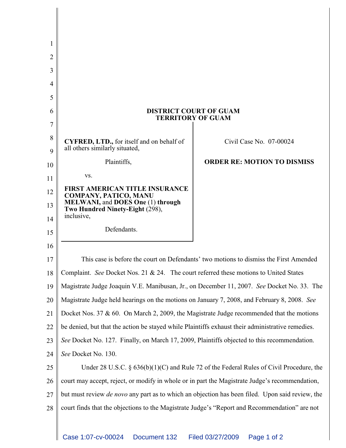| 1      |                                                                                                        |                                                                                            |
|--------|--------------------------------------------------------------------------------------------------------|--------------------------------------------------------------------------------------------|
| 2      |                                                                                                        |                                                                                            |
| 3      |                                                                                                        |                                                                                            |
| 4      |                                                                                                        |                                                                                            |
| 5      |                                                                                                        |                                                                                            |
| 6      |                                                                                                        | <b>DISTRICT COURT OF GUAM</b><br><b>TERRITORY OF GUAM</b>                                  |
| 7      |                                                                                                        |                                                                                            |
| 8<br>9 | <b>CYFRED, LTD.,</b> for itself and on behalf of<br>all others similarly situated,                     | Civil Case No. 07-00024                                                                    |
| 10     | Plaintiffs,                                                                                            | <b>ORDER RE: MOTION TO DISMISS</b>                                                         |
| 11     | VS.                                                                                                    |                                                                                            |
| 12     | <b>FIRST AMERICAN TITLE INSURANCE</b><br>COMPANY, PATICO, MANU                                         |                                                                                            |
| 13     | <b>MELWANI, and DOES One (1) through</b><br>Two Hundred Ninety-Eight (298),                            |                                                                                            |
| 14     | inclusive,                                                                                             |                                                                                            |
| 15     | Defendants.                                                                                            |                                                                                            |
| 16     |                                                                                                        |                                                                                            |
| 17     |                                                                                                        | This case is before the court on Defendants' two motions to dismiss the First Amended      |
| 18     | Complaint. See Docket Nos. 21 & 24. The court referred these motions to United States                  |                                                                                            |
| 19     | Magistrate Judge Joaquin V.E. Manibusan, Jr., on December 11, 2007. See Docket No. 33. The             |                                                                                            |
| 20     | Magistrate Judge held hearings on the motions on January 7, 2008, and February 8, 2008. See            |                                                                                            |
| 21     | Docket Nos. 37 $\&$ 60. On March 2, 2009, the Magistrate Judge recommended that the motions            |                                                                                            |
| 22     | be denied, but that the action be stayed while Plaintiffs exhaust their administrative remedies.       |                                                                                            |
| 23     | See Docket No. 127. Finally, on March 17, 2009, Plaintiffs objected to this recommendation.            |                                                                                            |
| 24     | See Docket No. 130.                                                                                    |                                                                                            |
| 25     |                                                                                                        | Under 28 U.S.C. $\S$ 636(b)(1)(C) and Rule 72 of the Federal Rules of Civil Procedure, the |
| 26     | court may accept, reject, or modify in whole or in part the Magistrate Judge's recommendation,         |                                                                                            |
| 27     | but must review <i>de novo</i> any part as to which an objection has been filed. Upon said review, the |                                                                                            |
| 28     | court finds that the objections to the Magistrate Judge's "Report and Recommendation" are not          |                                                                                            |
|        |                                                                                                        |                                                                                            |
|        | Case 1:07-cv-00024<br>Document 132                                                                     | Filed 03/27/2009<br>Page 1 of 2                                                            |